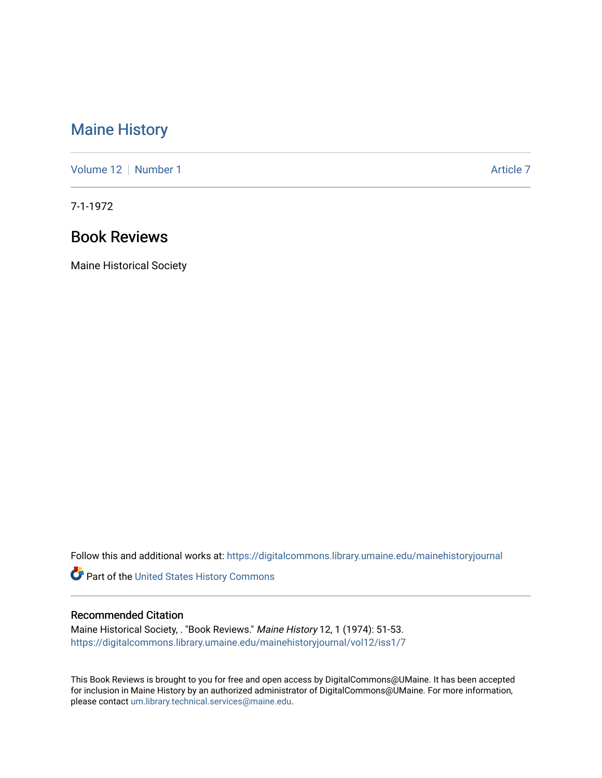## [Maine History](https://digitalcommons.library.umaine.edu/mainehistoryjournal)

[Volume 12](https://digitalcommons.library.umaine.edu/mainehistoryjournal/vol12) [Number 1](https://digitalcommons.library.umaine.edu/mainehistoryjournal/vol12/iss1) Article 7

7-1-1972

## Book Reviews

Maine Historical Society

Follow this and additional works at: [https://digitalcommons.library.umaine.edu/mainehistoryjournal](https://digitalcommons.library.umaine.edu/mainehistoryjournal?utm_source=digitalcommons.library.umaine.edu%2Fmainehistoryjournal%2Fvol12%2Fiss1%2F7&utm_medium=PDF&utm_campaign=PDFCoverPages) 

Part of the [United States History Commons](http://network.bepress.com/hgg/discipline/495?utm_source=digitalcommons.library.umaine.edu%2Fmainehistoryjournal%2Fvol12%2Fiss1%2F7&utm_medium=PDF&utm_campaign=PDFCoverPages) 

## Recommended Citation

Maine Historical Society, . "Book Reviews." Maine History 12, 1 (1974): 51-53. [https://digitalcommons.library.umaine.edu/mainehistoryjournal/vol12/iss1/7](https://digitalcommons.library.umaine.edu/mainehistoryjournal/vol12/iss1/7?utm_source=digitalcommons.library.umaine.edu%2Fmainehistoryjournal%2Fvol12%2Fiss1%2F7&utm_medium=PDF&utm_campaign=PDFCoverPages)

This Book Reviews is brought to you for free and open access by DigitalCommons@UMaine. It has been accepted for inclusion in Maine History by an authorized administrator of DigitalCommons@UMaine. For more information, please contact [um.library.technical.services@maine.edu.](mailto:um.library.technical.services@maine.edu)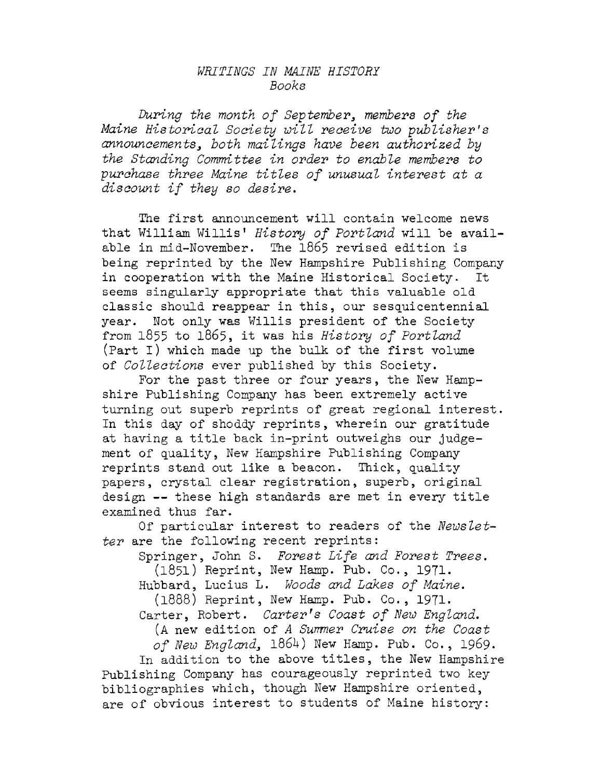## *WRITINGS IN MAINE HISTORE Books*

*During the month of September, members of the Maine Historical Society will receive two publisher's announcements, both mailings have been authorized by the Standing Committee in order to enable members to purchase three Maine titles of unusual interest at <sup>a</sup> discount if they so desire.*

The first announcement will contain welcome news that William Willis<sup>1</sup> *History of Portland* will be available in mid-November. The 1865 revised edition is being reprinted by the New Hampshire Publishing Company in cooperation with the Maine Historical Society. It seems singularly appropriate that this valuable old classic should reappear in this, our sesquicentennial year. Not only was Willis president of the Society from <sup>1855</sup> to 1865, it was his *History of Portland* (Part I) which made up the bulk of the first volume of *Collections* ever published by this Society.

For the past three or four years, the New Hampshire Publishing Company has been extremely active turning out superb reprints of great regional interest. In this day of shoddy reprints, wherein our gratitude at having a title back in-print outweighs our judgement of quality, New Hampshire Publishing Company reprints stand out like <sup>a</sup> beacon. Thick, quality papers, crystal clear registration, superb, original design -- these high standards are met in every title examined thus far.

Of particular interest to readers of the *Newsletter* are the following recent reprints:

Springer, John S. *Forest Life and Forest Trees.*

(1851) Reprint, New Hamp. Pub. Co., 1971. Hubbard, Lucius L. *Woods and Lakes of Maine.*

(1888) Reprint, New Hamp. Pub. Co., 1971.

Carter, Robert. *Carterfs Coast of New England. (A new* edition of *A Sumner Cruise on the Coast*

*of New England,* 186U) New Hamp. Pub. Co., 1969.

In addition to the above titles, the New Hampshire Publishing Company has courageously reprinted two key bibliographies which, though New Hampshire oriented, are of obvious interest to students of Maine history: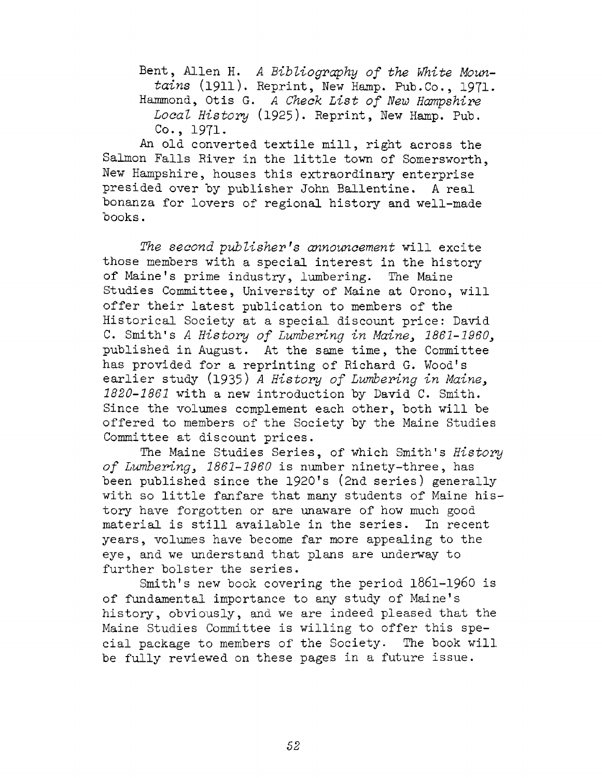Bent, Allen H. *<sup>A</sup> Bibliography of the White Mountains* (1911). Reprint, New Hamp. Pub.Co., 1971- Hammond, Otis G. *<sup>A</sup> Check List of New Hampshire Local History* (1925)\* Reprint, New Hamp. Pub. Co., 1971.

An old converted textile mill, right across the Salmon Falls River in the little town of Somersworth, New Hampshire, houses this extraordinary enterprise presided over by publisher John Ballentine. A real bonanza for lovers of regional history and well-made books.

*The second publisher's announcement* will excite those members with a special interest in the history of Maine'<sup>s</sup> prime industry, lumbering. The Maine Studies Committee, University of Maine at Orono, will offer their latest publication to members of the Historical Society at a special discount price: David C. Smith'<sup>s</sup> *<sup>A</sup> History of Lumbering in Maine, 1861-1960,* published in August. At the same time, the Committee has provided for <sup>a</sup> reprinting of Richard G. Wood'<sup>s</sup> earlier study (1935) *<sup>A</sup> History of Lumbering in Maine, 1820-1861* with a new introduction by David C. Smith. Since the volumes complement each other, both will be offered to members of the Society by the Maine Studies Committee at discount prices.

The Maine Studies Series, of which Smith'<sup>s</sup> *History of Lumbering, 1861-1960* is number ninety-three, has been published since the <sup>1920</sup>'<sup>s</sup> (2nd series) generally with so little fanfare that many students of Maine history have forgotten or are unaware of how much good material is still available in the series. In recent years, volumes have become far more appealing to the eye, and we understand that plans are underway to further bolster the series.

Smith'<sup>s</sup> new book covering the period 1861-1960 is of fundamental importance to any study of Maine'<sup>s</sup> history, obviously, and we are indeed pleased that the Maine Studies Committee is willing to offer this special package to members of the Society. The book will be fully reviewed on these pages in <sup>a</sup> future issue.